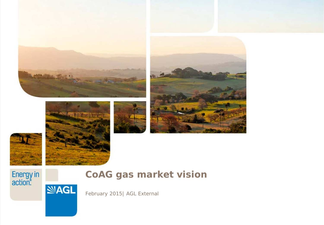







**SAGL** 







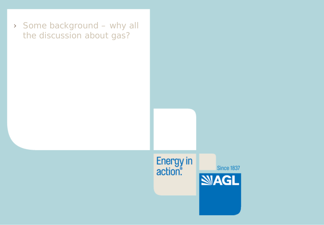› Some background – why all the discussion about gas?

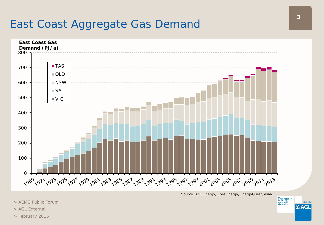## East Coast Aggregate Gas Demand



*Source: AGL Energy, Core Energy, EnergyQuest, esaa.*

- > AEMC Public Forum
- > AGL External
- > February 2015

**Energy** in

action.

Since 1837

**NAGL**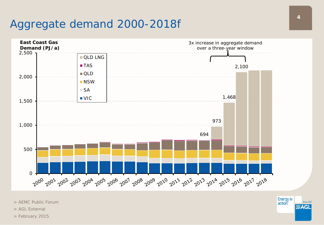# Aggregate demand 2000-2018*f*



> AEMC Public Forum

- > AGL External
- > February 2015

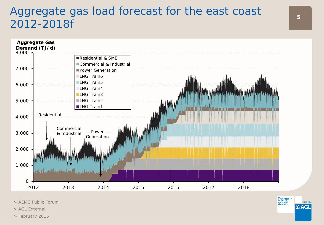### Aggregate gas load forecast for the east coast 2012-2018*f*



> AEMC Public Forum

- > AGL External
- > February 2015



action.

**SAGL**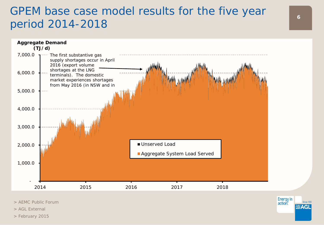### GPEM base case model results for the five year and the set of the five year the set of the set of the set of the set of the set of the set of the set of the set of the set of the set of the set of the set of the set of the period 2014-2018



> AEMC Public Forum

> AGL External

> February 2015

action

**NIAGI**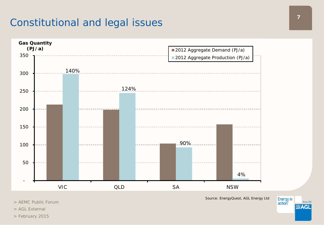#### Constitutional and legal issues



> AEMC Public Forum

> AGL External

> February 2015

*Source: EnergyQuest, AGL Energy Ltd*



Energy in<br>action. Since 1837 **NAGL**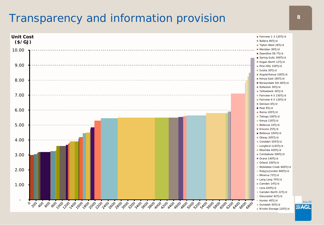### Transparency and information provision **8**

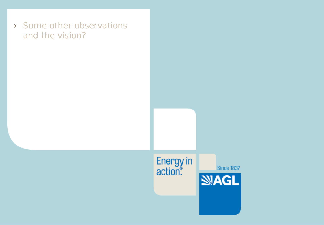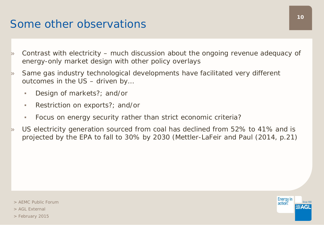### Some other observations

- » Contrast with electricity much discussion about the ongoing revenue adequacy of energy-only market design with other policy overlays
- » Same gas industry technological developments have facilitated very different outcomes in the US – driven by…
	- Design of markets?; and/or
	- Restriction on exports?; and/or
	- Focus on energy security rather than strict economic criteria?
- » US electricity generation sourced from coal has declined from 52% to 41% and is projected by the EPA to fall to 30% by 2030 (Mettler-LaFeir and Paul (2014, p.21)

> February 2015

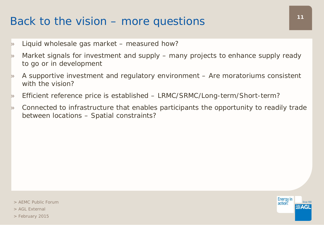# Back to the vision – more questions  $11$

- » Liquid wholesale gas market measured how?
- » Market signals for investment and supply many projects to enhance supply ready to go or in development
- » A supportive investment and regulatory environment Are moratoriums consistent with the vision?
- » Efficient reference price is established LRMC/SRMC/Long-term/Short-term?
- » Connected to infrastructure that enables participants the opportunity to readily trade between locations – Spatial constraints?

> AEMC Public Forum

> AGL External

> February 2015